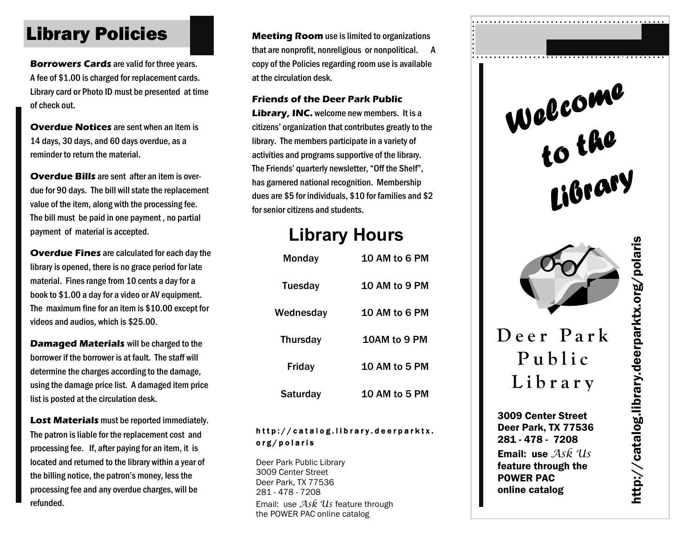## **Library Policies Meeting Room** use is limited to organizations

**Borrowers Cards** are valid for three years. A fee of \$1.00 is charged for replacement cards. Library card or Photo ID must be presented at time of check out.

**Overdue Notices** are sent when an item is 14 days, 30 days, and 60 days overdue, as a reminder to return the material.

**Overdue Bills** are sent after an item is overdue for 90 days. The bill will state the replacement value of the item, along with the processing fee. The bill must be paid in one payment , no partial payment of material is accepted.

**Overdue Fines** are calculated for each day the library is opened, there is no grace period for late material. Fines range from 10 cents a day for a book to \$1.00 a day for a video or AV equipment. The maximum fine for an item is \$10.00 except for videos and audios, which is \$25.00.

**Damaged Materials** will be charged to the borrower if the borrower is at fault. The staff will determine the charges according to the damage, using the damage price list. A damaged item price list is posted at the circulation desk.

**Lost Materials** must be reported immediately. The patron is liable for the replacement cost and processing fee. If, after paying for an item, it is located and returned to the library within a year of the billing notice, the patron's money, less the processing fee and any overdue charges, will be refunded.

that are nonprofit, nonreligious or nonpolitical. A copy of the Policies regarding room use is available at the circulation desk.

#### **Friends of the Deer Park Public**

**Library, INC.** welcome new members. It is a citizens' organization that contributes greatly to the library. The members participate in a variety of activities and programs supportive of the library. The Friends' quarterly newsletter, "Off the Shelf", has garnered national recognition. Membership dues are \$5 for individuals, \$10 for families and \$2 for senior citizens and students.

## **Library Hours**

| Monday          | 10 AM to 6 PM        |
|-----------------|----------------------|
| <b>Tuesday</b>  | 10 AM to 9 PM        |
| Wednesday       | <b>10 AM to 6 PM</b> |
| <b>Thursday</b> | <b>10AM to 9 PM</b>  |
| <b>Friday</b>   | <b>10 AM to 5 PM</b> |
| Saturday        | 10 AM to 5 PM        |

### http://catalog.library.deerparktx. org/polaris

Deer Park Public Library 3009 Center Street Deer Park, TX 77536 281 - 478 - 7208 Email: use *Ask Us* feature through the POWER PAC online catalog

*Welcome to the Library* 



# **Deer Park Public Library**

3009 Center Street Deer Park, TX 77536 281 - 478 - 7208 Email: use *Ask Us* feature through the POWER PAC online catalog

http://catalog.library.deerparktx.org/polaris nttp://catalog.library.deerparktx.org/polaris